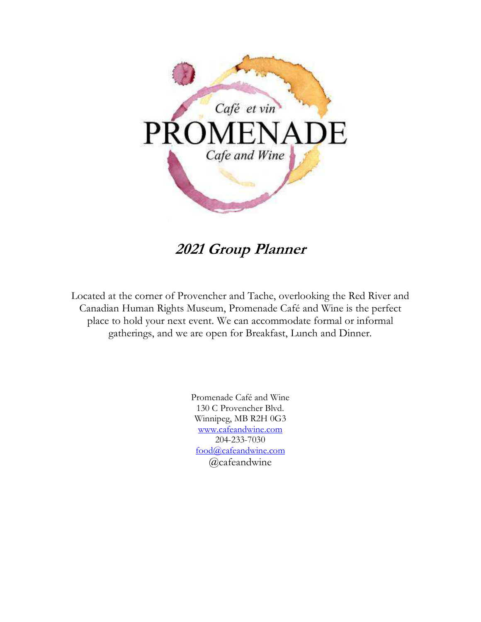

**2021 Group Planner** 

Located at the corner of Provencher and Tache, overlooking the Red River and Canadian Human Rights Museum, Promenade Café and Wine is the perfect place to hold your next event. We can accommodate formal or informal gatherings, and we are open for Breakfast, Lunch and Dinner.

> Promenade Café and Wine 130 C Provencher Blvd. Winnipeg, MB R2H 0G3 www.cafeandwine.com 204-233-7030 food@cafeandwine.com @cafeandwine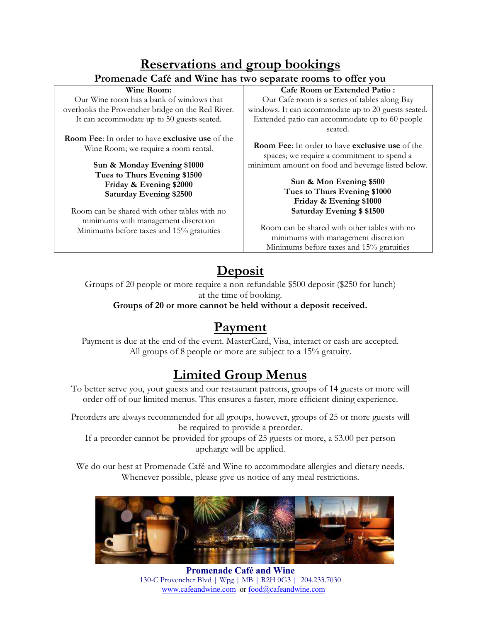### **Reservations and group bookings Promenade Café and Wine has two separate rooms to offer you**

#### **Wine Room:**

Our Wine room has a bank of windows that overlooks the Provencher bridge on the Red River. It can accommodate up to 50 guests seated.

**Room Fee**: In order to have **exclusive use** of the Wine Room; we require a room rental.

#### **Sun & Monday Evening \$1000 Tues to Thurs Evening \$1500 Friday & Evening \$2000 Saturday Evening \$2500**

Room can be shared with other tables with no minimums with management discretion Minimums before taxes and 15% gratuities

#### **Cafe Room or Extended Patio :**

Our Cafe room is a series of tables along Bay windows. It can accommodate up to 20 guests seated. Extended patio can accommodate up to 60 people seated.

**Room Fee**: In order to have **exclusive use** of the spaces; we require a commitment to spend a minimum amount on food and beverage listed below.

#### **Sun & Mon Evening \$500 Tues to Thurs Evening \$1000 Friday & Evening \$1000 Saturday Evening \$ \$1500**

Room can be shared with other tables with no minimums with management discretion Minimums before taxes and 15% gratuities

# **Deposit**

Groups of 20 people or more require a non-refundable \$500 deposit (\$250 for lunch) at the time of booking.

**Groups of 20 or more cannot be held without a deposit received.** 

## **Payment**

Payment is due at the end of the event. MasterCard, Visa, interact or cash are accepted. All groups of 8 people or more are subject to a 15% gratuity.

# **Limited Group Menus**

To better serve you, your guests and our restaurant patrons, groups of 14 guests or more will order off of our limited menus. This ensures a faster, more efficient dining experience.

Preorders are always recommended for all groups, however, groups of 25 or more guests will be required to provide a preorder.

If a preorder cannot be provided for groups of 25 guests or more, a \$3.00 per person upcharge will be applied.

We do our best at Promenade Café and Wine to accommodate allergies and dietary needs. Whenever possible, please give us notice of any meal restrictions.



**Promenade Café and Wine** 130-C Provencher Blvd | Wpg | MB | R2H 0G3 | 204.233.7030 www.cafeandwine.com or food@cafeandwine.com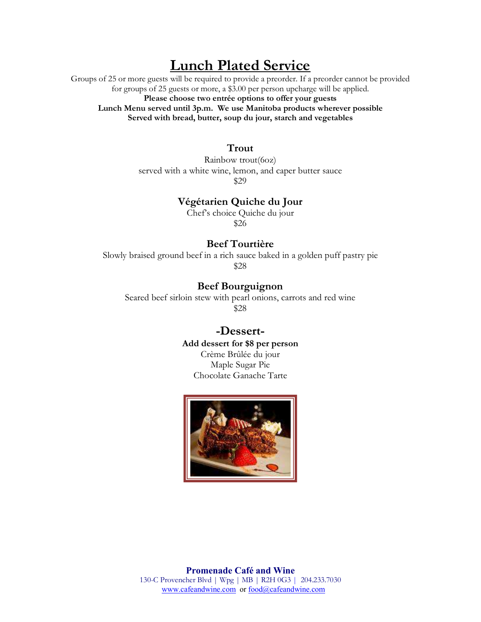## **Lunch Plated Service**

Groups of 25 or more guests will be required to provide a preorder. If a preorder cannot be provided for groups of 25 guests or more, a \$3.00 per person upcharge will be applied. **Please choose two entrée options to offer your guests Lunch Menu served until 3p.m. We use Manitoba products wherever possible Served with bread, butter, soup du jour, starch and vegetables** 

#### **Trout**

Rainbow trout(6oz) served with a white wine, lemon, and caper butter sauce \$29

#### **Végétarien Quiche du Jour**

Chef's choice Quiche du jour \$26

### **Beef Tourtière**

Slowly braised ground beef in a rich sauce baked in a golden puff pastry pie \$28

**Beef Bourguignon** 

Seared beef sirloin stew with pearl onions, carrots and red wine \$28

### **-Dessert-Add dessert for \$8 per person**

Crème Brûlée du jour Maple Sugar Pie Chocolate Ganache Tarte

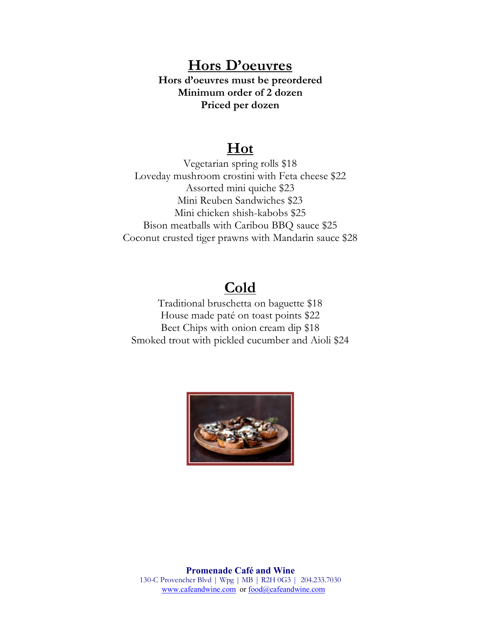## **Hors D'oeuvres**

**Hors d'oeuvres must be preordered Minimum order of 2 dozen Priced per dozen** 

## **Hot**

Vegetarian spring rolls \$18 Loveday mushroom crostini with Feta cheese \$22 Assorted mini quiche \$23 Mini Reuben Sandwiches \$23 Mini chicken shish-kabobs \$25 Bison meatballs with Caribou BBQ sauce \$25 Coconut crusted tiger prawns with Mandarin sauce \$28

## **Cold**

Traditional bruschetta on baguette \$18 House made paté on toast points \$22 Beet Chips with onion cream dip \$18 Smoked trout with pickled cucumber and Aioli \$24

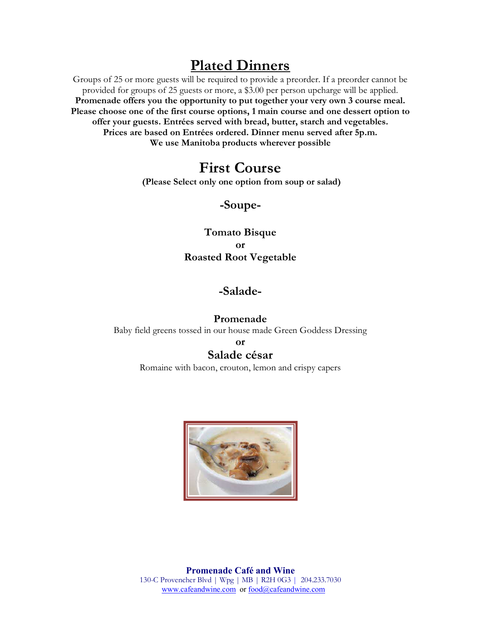## **Plated Dinners**

Groups of 25 or more guests will be required to provide a preorder. If a preorder cannot be provided for groups of 25 guests or more, a \$3.00 per person upcharge will be applied. **Promenade offers you the opportunity to put together your very own 3 course meal. Please choose one of the first course options, 1 main course and one dessert option to offer your guests. Entrées served with bread, butter, starch and vegetables. Prices are based on Entrées ordered. Dinner menu served after 5p.m. We use Manitoba products wherever possible** 

## **First Course**

 **(Please Select only one option from soup or salad)** 

### **-Soupe-**

### **Tomato Bisque or Roasted Root Vegetable**

### **-Salade-**

### **Promenade**

Baby field greens tossed in our house made Green Goddess Dressing

**or** 

### **Salade césar**

Romaine with bacon, crouton, lemon and crispy capers

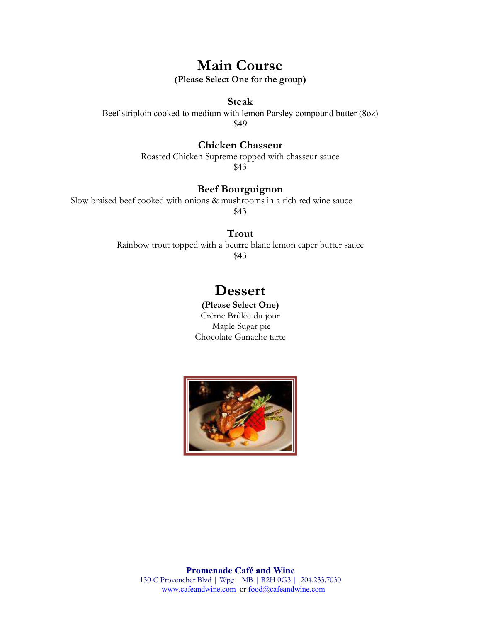## **Main Course**

**(Please Select One for the group)** 

#### **Steak**

Beef striploin cooked to medium with lemon Parsley compound butter (8oz) \$49

#### **Chicken Chasseur**

Roasted Chicken Supreme topped with chasseur sauce \$43

### **Beef Bourguignon**

Slow braised beef cooked with onions & mushrooms in a rich red wine sauce \$43

#### **Trout**

Rainbow trout topped with a beurre blanc lemon caper butter sauce \$43

## **Dessert**

**(Please Select One)**  Crème Brûlée du jour Maple Sugar pie Chocolate Ganache tarte